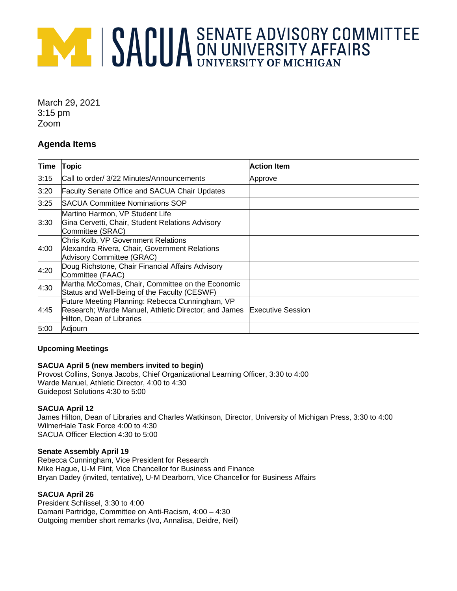# **AMERICA SENATE ADVISORY COMMITTEE**

March 29, 2021 3:15 pm Zoom

## **Agenda Items**

| Time | <b>Topic</b>                                                                                                                         | <b>Action Item</b>       |
|------|--------------------------------------------------------------------------------------------------------------------------------------|--------------------------|
| 3:15 | Call to order/ 3/22 Minutes/Announcements                                                                                            | Approve                  |
| 3:20 | <b>Faculty Senate Office and SACUA Chair Updates</b>                                                                                 |                          |
| 3:25 | <b>ISACUA Committee Nominations SOP</b>                                                                                              |                          |
| 3:30 | Martino Harmon, VP Student Life<br>Gina Cervetti, Chair, Student Relations Advisory<br>Committee (SRAC)                              |                          |
| 4:00 | Chris Kolb, VP Government Relations<br>Alexandra Rivera, Chair, Government Relations<br>Advisory Committee (GRAC)                    |                          |
| 4:20 | Doug Richstone, Chair Financial Affairs Advisory<br>Committee (FAAC)                                                                 |                          |
| 4:30 | Martha McComas, Chair, Committee on the Economic<br>Status and Well-Being of the Faculty (CESWF)                                     |                          |
| 4:45 | Future Meeting Planning: Rebecca Cunningham, VP<br>Research; Warde Manuel, Athletic Director; and James<br>Hilton, Dean of Libraries | <b>Executive Session</b> |
| 5:00 | Adjourn                                                                                                                              |                          |

### **Upcoming Meetings**

### **SACUA April 5 (new members invited to begin)**

Provost Collins, Sonya Jacobs, Chief Organizational Learning Officer, 3:30 to 4:00 Warde Manuel, Athletic Director, 4:00 to 4:30 Guidepost Solutions 4:30 to 5:00

## **SACUA April 12**

James Hilton, Dean of Libraries and Charles Watkinson, Director, University of Michigan Press, 3:30 to 4:00 WilmerHale Task Force 4:00 to 4:30 SACUA Officer Election 4:30 to 5:00

### **Senate Assembly April 19**

Rebecca Cunningham, Vice President for Research Mike Hague, U-M Flint, Vice Chancellor for Business and Finance Bryan Dadey (invited, tentative), U-M Dearborn, Vice Chancellor for Business Affairs

## **SACUA April 26**

President Schlissel, 3:30 to 4:00 Damani Partridge, Committee on Anti-Racism, 4:00 – 4:30 Outgoing member short remarks (Ivo, Annalisa, Deidre, Neil)